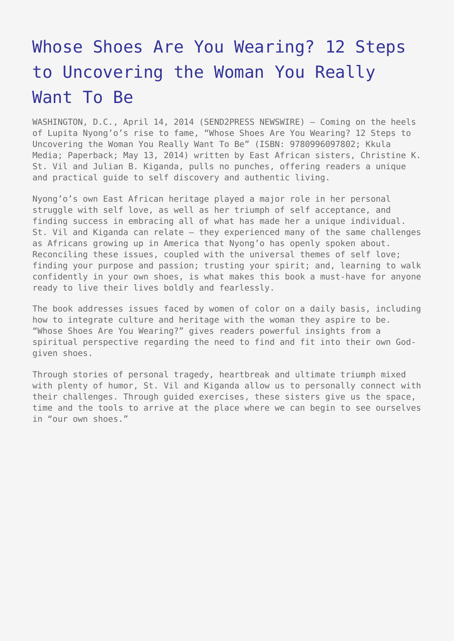## [Whose Shoes Are You Wearing? 12 Steps](https://www.send2press.com/wire/whose-shoes-are-you-wearing-12-steps-to-uncovering-the-woman-you-really-want-to-be_2014-04-0414-003/) [to Uncovering the Woman You Really](https://www.send2press.com/wire/whose-shoes-are-you-wearing-12-steps-to-uncovering-the-woman-you-really-want-to-be_2014-04-0414-003/) [Want To Be](https://www.send2press.com/wire/whose-shoes-are-you-wearing-12-steps-to-uncovering-the-woman-you-really-want-to-be_2014-04-0414-003/)

WASHINGTON, D.C., April 14, 2014 (SEND2PRESS NEWSWIRE) — Coming on the heels of Lupita Nyong'o's rise to fame, "Whose Shoes Are You Wearing? 12 Steps to Uncovering the Woman You Really Want To Be" (ISBN: 9780996097802; Kkula Media; Paperback; May 13, 2014) written by East African sisters, Christine K. St. Vil and Julian B. Kiganda, pulls no punches, offering readers a unique and practical guide to self discovery and authentic living.

Nyong'o's own East African heritage played a major role in her personal struggle with self love, as well as her triumph of self acceptance, and finding success in embracing all of what has made her a unique individual. St. Vil and Kiganda can relate — they experienced many of the same challenges as Africans growing up in America that Nyong'o has openly spoken about. Reconciling these issues, coupled with the universal themes of self love; finding your purpose and passion; trusting your spirit; and, learning to walk confidently in your own shoes, is what makes this book a must-have for anyone ready to live their lives boldly and fearlessly.

The book addresses issues faced by women of color on a daily basis, including how to integrate culture and heritage with the woman they aspire to be. "Whose Shoes Are You Wearing?" gives readers powerful insights from a spiritual perspective regarding the need to find and fit into their own Godgiven shoes.

Through stories of personal tragedy, heartbreak and ultimate triumph mixed with plenty of humor, St. Vil and Kiganda allow us to personally connect with their challenges. Through guided exercises, these sisters give us the space, time and the tools to arrive at the place where we can begin to see ourselves in "our own shoes."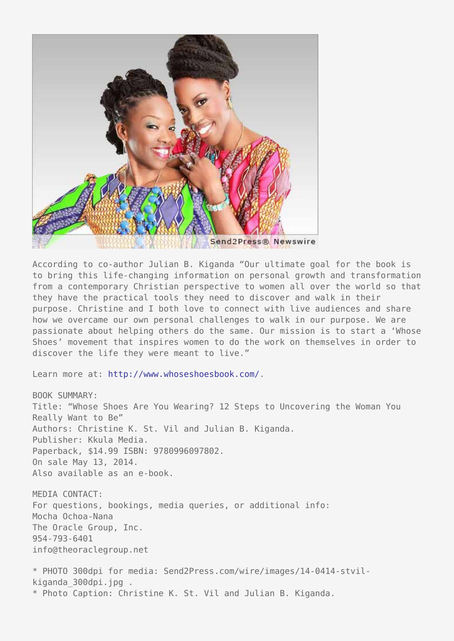

According to co-author Julian B. Kiganda "Our ultimate goal for the book is to bring this life-changing information on personal growth and transformation from a contemporary Christian perspective to women all over the world so that they have the practical tools they need to discover and walk in their purpose. Christine and I both love to connect with live audiences and share how we overcame our own personal challenges to walk in our purpose. We are passionate about helping others do the same. Our mission is to start a 'Whose Shoes' movement that inspires women to do the work on themselves in order to discover the life they were meant to live."

Learn more at: [http://www.whoseshoesbook.com/.](http://www.whoseshoesbook.com/)

BOOK SUMMARY: Title: "Whose Shoes Are You Wearing? 12 Steps to Uncovering the Woman You Really Want to Be" Authors: Christine K. St. Vil and Julian B. Kiganda. Publisher: Kkula Media. Paperback, \$14.99 ISBN: 9780996097802. On sale May 13, 2014. Also available as an e-book.

MEDIA CONTACT: For questions, bookings, media queries, or additional info: Mocha Ochoa-Nana The Oracle Group, Inc. 954-793-6401 info@theoraclegroup.net

\* PHOTO 300dpi for media: Send2Press.com/wire/images/14-0414-stvilkiganda\_300dpi.jpg . \* Photo Caption: Christine K. St. Vil and Julian B. Kiganda.